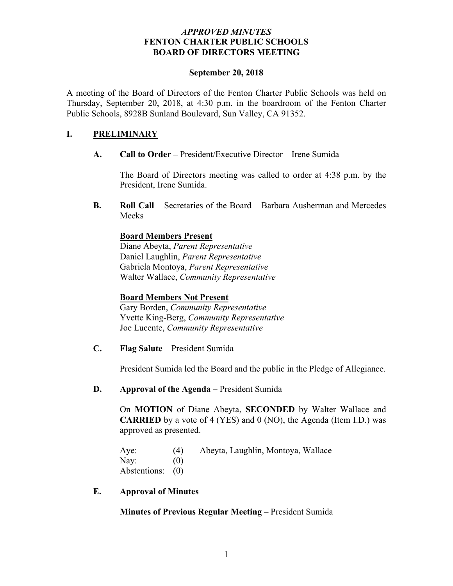## *APPROVED MINUTES* **FENTON CHARTER PUBLIC SCHOOLS BOARD OF DIRECTORS MEETING**

#### **September 20, 2018**

A meeting of the Board of Directors of the Fenton Charter Public Schools was held on Thursday, September 20, 2018, at 4:30 p.m. in the boardroom of the Fenton Charter Public Schools, 8928B Sunland Boulevard, Sun Valley, CA 91352.

## **I. PRELIMINARY**

**A. Call to Order –** President/Executive Director – Irene Sumida

The Board of Directors meeting was called to order at 4:38 p.m. by the President, Irene Sumida.

**B. Roll Call** – Secretaries of the Board – Barbara Ausherman and Mercedes Meeks

## **Board Members Present**

Diane Abeyta, *Parent Representative* Daniel Laughlin, *Parent Representative* Gabriela Montoya, *Parent Representative* Walter Wallace, *Community Representative* 

#### **Board Members Not Present**

Gary Borden, *Community Representative* Yvette King-Berg, *Community Representative* Joe Lucente, *Community Representative*

**C. Flag Salute** – President Sumida

President Sumida led the Board and the public in the Pledge of Allegiance.

#### **D. Approval of the Agenda** – President Sumida

On **MOTION** of Diane Abeyta, **SECONDED** by Walter Wallace and **CARRIED** by a vote of 4 (YES) and 0 (NO), the Agenda (Item I.D.) was approved as presented.

Aye: (4) Abeyta, Laughlin, Montoya, Wallace Nay:  $(0)$ Abstentions: (0)

**E. Approval of Minutes**

**Minutes of Previous Regular Meeting** – President Sumida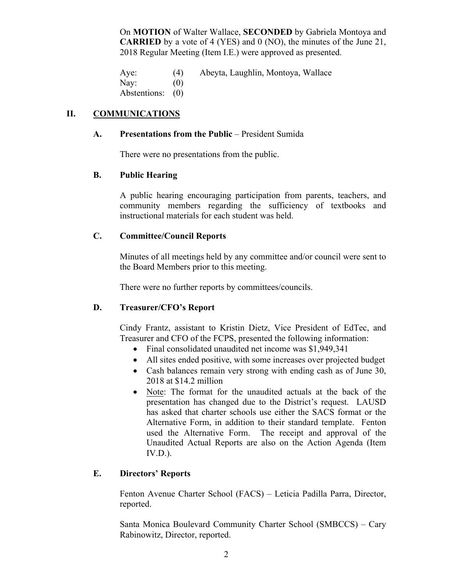On **MOTION** of Walter Wallace, **SECONDED** by Gabriela Montoya and **CARRIED** by a vote of 4 (YES) and 0 (NO), the minutes of the June 21, 2018 Regular Meeting (Item I.E.) were approved as presented.

Aye: (4) Abeyta, Laughlin, Montoya, Wallace Nay:  $(0)$ Abstentions: (0)

## **II. COMMUNICATIONS**

## **A. Presentations from the Public** – President Sumida

There were no presentations from the public.

## **B. Public Hearing**

A public hearing encouraging participation from parents, teachers, and community members regarding the sufficiency of textbooks and instructional materials for each student was held.

## **C. Committee/Council Reports**

Minutes of all meetings held by any committee and/or council were sent to the Board Members prior to this meeting.

There were no further reports by committees/councils.

## **D. Treasurer/CFO's Report**

Cindy Frantz, assistant to Kristin Dietz, Vice President of EdTec, and Treasurer and CFO of the FCPS, presented the following information:

- Final consolidated unaudited net income was \$1,949,341
- All sites ended positive, with some increases over projected budget
- Cash balances remain very strong with ending cash as of June 30, 2018 at \$14.2 million
- Note: The format for the unaudited actuals at the back of the presentation has changed due to the District's request. LAUSD has asked that charter schools use either the SACS format or the Alternative Form, in addition to their standard template. Fenton used the Alternative Form. The receipt and approval of the Unaudited Actual Reports are also on the Action Agenda (Item  $IV.D.$ ).

## **E. Directors' Reports**

Fenton Avenue Charter School (FACS) – Leticia Padilla Parra, Director, reported.

Santa Monica Boulevard Community Charter School (SMBCCS) – Cary Rabinowitz, Director, reported.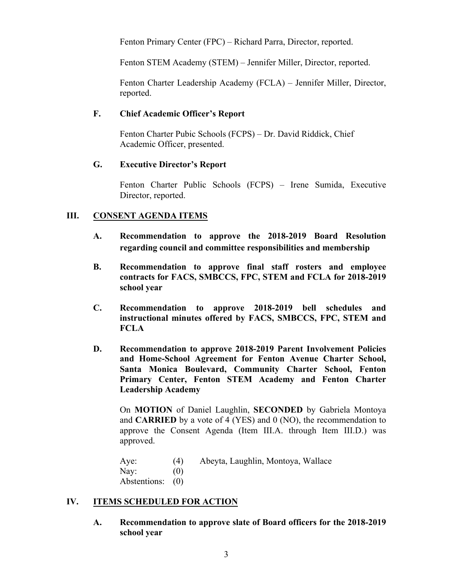Fenton Primary Center (FPC) – Richard Parra, Director, reported.

Fenton STEM Academy (STEM) – Jennifer Miller, Director, reported.

Fenton Charter Leadership Academy (FCLA) – Jennifer Miller, Director, reported.

## **F. Chief Academic Officer's Report**

Fenton Charter Pubic Schools (FCPS) – Dr. David Riddick, Chief Academic Officer, presented.

#### **G. Executive Director's Report**

Fenton Charter Public Schools (FCPS) – Irene Sumida, Executive Director, reported.

## **III. CONSENT AGENDA ITEMS**

- **A. Recommendation to approve the 2018-2019 Board Resolution regarding council and committee responsibilities and membership**
- **B. Recommendation to approve final staff rosters and employee contracts for FACS, SMBCCS, FPC, STEM and FCLA for 2018-2019 school year**
- **C. Recommendation to approve 2018-2019 bell schedules and instructional minutes offered by FACS, SMBCCS, FPC, STEM and FCLA**
- **D. Recommendation to approve 2018-2019 Parent Involvement Policies and Home-School Agreement for Fenton Avenue Charter School, Santa Monica Boulevard, Community Charter School, Fenton Primary Center, Fenton STEM Academy and Fenton Charter Leadership Academy**

On **MOTION** of Daniel Laughlin, **SECONDED** by Gabriela Montoya and **CARRIED** by a vote of 4 (YES) and 0 (NO), the recommendation to approve the Consent Agenda (Item III.A. through Item III.D.) was approved.

Aye: (4) Abeyta, Laughlin, Montoya, Wallace Nay:  $(0)$ Abstentions: (0)

## **IV. ITEMS SCHEDULED FOR ACTION**

**A. Recommendation to approve slate of Board officers for the 2018-2019 school year**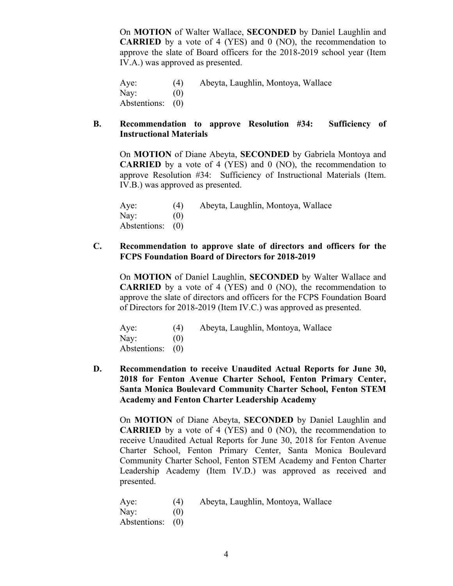On **MOTION** of Walter Wallace, **SECONDED** by Daniel Laughlin and **CARRIED** by a vote of 4 (YES) and 0 (NO), the recommendation to approve the slate of Board officers for the 2018-2019 school year (Item IV.A.) was approved as presented.

Aye: (4) Abeyta, Laughlin, Montoya, Wallace Nay:  $(0)$ Abstentions: (0)

#### **B. Recommendation to approve Resolution #34: Sufficiency of Instructional Materials**

On **MOTION** of Diane Abeyta, **SECONDED** by Gabriela Montoya and **CARRIED** by a vote of 4 (YES) and 0 (NO), the recommendation to approve Resolution #34: Sufficiency of Instructional Materials (Item. IV.B.) was approved as presented.

Aye: (4) Abeyta, Laughlin, Montoya, Wallace Nay:  $(0)$ Abstentions: (0)

## **C. Recommendation to approve slate of directors and officers for the FCPS Foundation Board of Directors for 2018-2019**

On **MOTION** of Daniel Laughlin, **SECONDED** by Walter Wallace and **CARRIED** by a vote of 4 (YES) and 0 (NO), the recommendation to approve the slate of directors and officers for the FCPS Foundation Board of Directors for 2018-2019 (Item IV.C.) was approved as presented.

| Aye:             | (4) | Abeyta, Laughlin, Montoya, Wallace |
|------------------|-----|------------------------------------|
| Nay:             | (0) |                                    |
| Abstentions: (0) |     |                                    |

**D. Recommendation to receive Unaudited Actual Reports for June 30, 2018 for Fenton Avenue Charter School, Fenton Primary Center, Santa Monica Boulevard Community Charter School, Fenton STEM Academy and Fenton Charter Leadership Academy** 

On **MOTION** of Diane Abeyta, **SECONDED** by Daniel Laughlin and **CARRIED** by a vote of 4 (YES) and 0 (NO), the recommendation to receive Unaudited Actual Reports for June 30, 2018 for Fenton Avenue Charter School, Fenton Primary Center, Santa Monica Boulevard Community Charter School, Fenton STEM Academy and Fenton Charter Leadership Academy (Item IV.D.) was approved as received and presented.

Aye: (4) Abeyta, Laughlin, Montoya, Wallace Nay:  $(0)$ Abstentions: (0)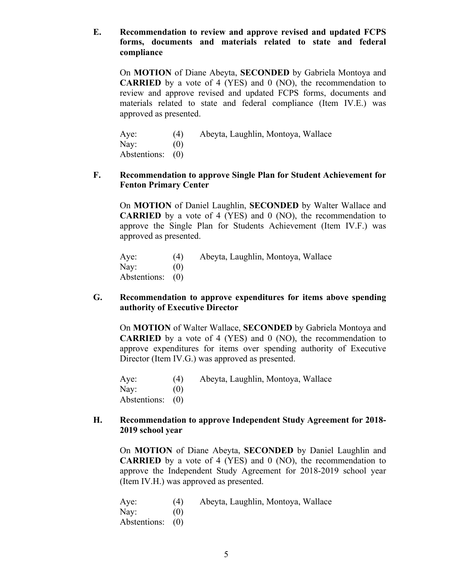## **E. Recommendation to review and approve revised and updated FCPS forms, documents and materials related to state and federal compliance**

On **MOTION** of Diane Abeyta, **SECONDED** by Gabriela Montoya and **CARRIED** by a vote of 4 (YES) and 0 (NO), the recommendation to review and approve revised and updated FCPS forms, documents and materials related to state and federal compliance (Item IV.E.) was approved as presented.

| Aye:             | (4) | Abeyta, Laughlin, Montoya, Wallace |
|------------------|-----|------------------------------------|
| $\text{Nay:}$    | (0) |                                    |
| Abstentions: (0) |     |                                    |

#### **F. Recommendation to approve Single Plan for Student Achievement for Fenton Primary Center**

On **MOTION** of Daniel Laughlin, **SECONDED** by Walter Wallace and **CARRIED** by a vote of 4 (YES) and 0 (NO), the recommendation to approve the Single Plan for Students Achievement (Item IV.F.) was approved as presented.

| Aye:             | (4) | Abeyta, Laughlin, Montoya, Wallace |
|------------------|-----|------------------------------------|
| Nay:             | (0) |                                    |
| Abstentions: (0) |     |                                    |

#### **G. Recommendation to approve expenditures for items above spending authority of Executive Director**

On **MOTION** of Walter Wallace, **SECONDED** by Gabriela Montoya and **CARRIED** by a vote of 4 (YES) and 0 (NO), the recommendation to approve expenditures for items over spending authority of Executive Director (Item IV.G.) was approved as presented.

Aye: (4) Abeyta, Laughlin, Montoya, Wallace Nay:  $(0)$ Abstentions: (0)

### **H. Recommendation to approve Independent Study Agreement for 2018- 2019 school year**

On **MOTION** of Diane Abeyta, **SECONDED** by Daniel Laughlin and **CARRIED** by a vote of 4 (YES) and 0 (NO), the recommendation to approve the Independent Study Agreement for 2018-2019 school year (Item IV.H.) was approved as presented.

Aye: (4) Abeyta, Laughlin, Montoya, Wallace Nay:  $(0)$ Abstentions: (0)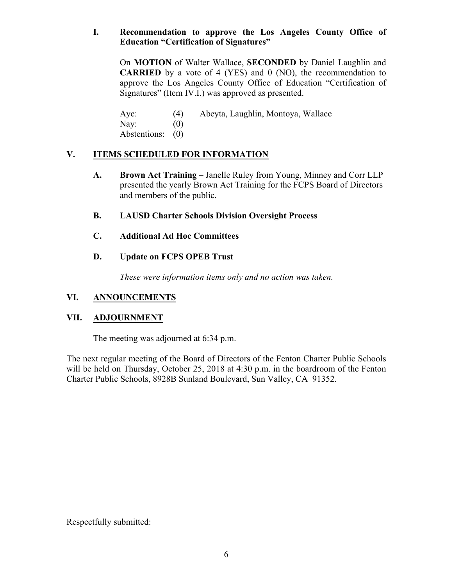## **I. Recommendation to approve the Los Angeles County Office of Education "Certification of Signatures"**

On **MOTION** of Walter Wallace, **SECONDED** by Daniel Laughlin and **CARRIED** by a vote of 4 (YES) and 0 (NO), the recommendation to approve the Los Angeles County Office of Education "Certification of Signatures" (Item IV.I.) was approved as presented.

Aye: (4) Abeyta, Laughlin, Montoya, Wallace Nay:  $(0)$ 

Abstentions: (0)

# **V. ITEMS SCHEDULED FOR INFORMATION**

- **A. Brown Act Training –** Janelle Ruley from Young, Minney and Corr LLP presented the yearly Brown Act Training for the FCPS Board of Directors and members of the public.
- **B. LAUSD Charter Schools Division Oversight Process**
- **C. Additional Ad Hoc Committees**

# **D. Update on FCPS OPEB Trust**

*These were information items only and no action was taken.*

# **VI. ANNOUNCEMENTS**

## **VII. ADJOURNMENT**

The meeting was adjourned at 6:34 p.m.

The next regular meeting of the Board of Directors of the Fenton Charter Public Schools will be held on Thursday, October 25, 2018 at 4:30 p.m. in the boardroom of the Fenton Charter Public Schools, 8928B Sunland Boulevard, Sun Valley, CA 91352.

Respectfully submitted: